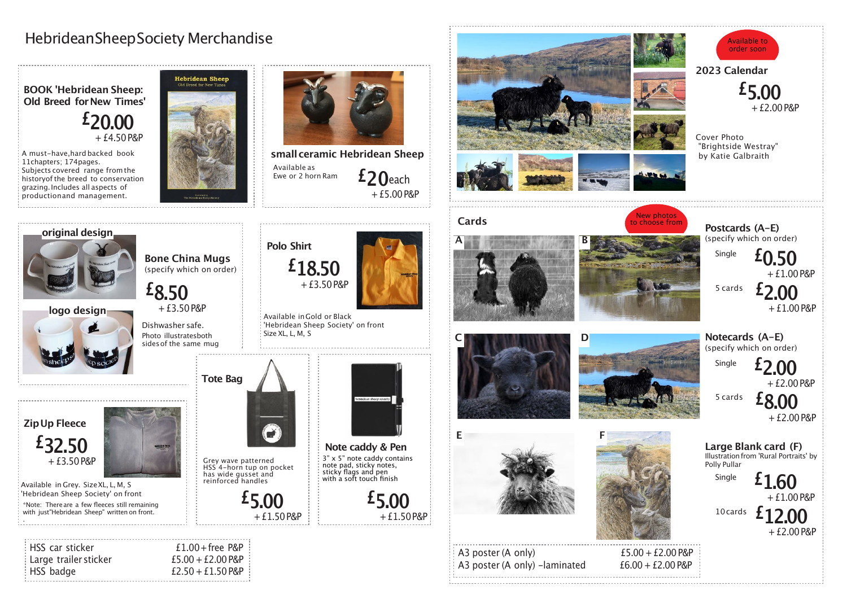

## HebrideanSheepSociety Merchandise